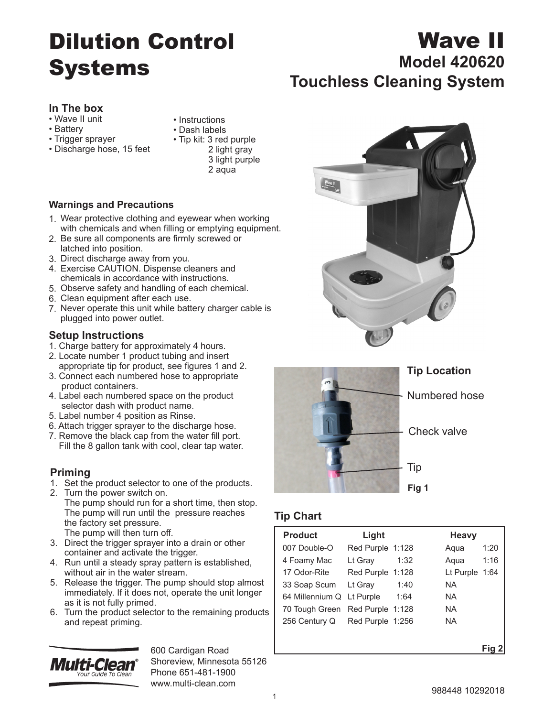# Dilution Control Systems

## **In The box**

- Wave II unit
- Battery
- Trigger sprayer
- Discharge hose, 15 feet
- Instructions
- Dash labels
- Tip kit: 3 red purple 2 light gray 3 light purple
	- 2 aqua

#### **Warnings and Precautions**

- 1. Wear protective clothing and eyewear when working with chemicals and when filling or emptying equipment.
- 2. Be sure all components are firmly screwed or latched into position.
- 3. Direct discharge away from you.
- 4. Exercise CAUTION. Dispense cleaners and chemicals in accordance with instructions.
- 5. Observe safety and handling of each chemical.
- 6. Clean equipment after each use.
- 7. Never operate this unit while battery charger cable is plugged into power outlet.

#### **Setup Instructions**

- 1. Charge battery for approximately 4 hours.
- 2. Locate number 1 product tubing and insert appropriate tip for product, see figures 1 and 2.
- 3. Connect each numbered hose to appropriate product containers.
- 4. Label each numbered space on the product selector dash with product name.
- 5. Label number 4 position as Rinse.
- 6. Attach trigger sprayer to the discharge hose.
- 7. Remove the black cap from the water fill port. Fill the 8 gallon tank with cool, clear tap water.

# **Priming**

- 1. Set the product selector to one of the products.
- 2. Turn the power switch on. The pump should run for a short time, then stop. The pump will run until the pressure reaches the factory set pressure. The pump will then turn off.
- 3. Direct the trigger sprayer into a drain or other container and activate the trigger.
- 4. Run until a steady spray pattern is established, without air in the water stream.
- 5. Release the trigger. The pump should stop almost immediately. If it does not, operate the unit longer as it is not fully primed.
- 6. Turn the product selector to the remaining products and repeat priming.



600 Cardigan Road Shoreview, Minnesota 55126 Phone 651-481-1900 www.multi-clean.com



Wave II



 $\frac{W_{\text{QVE}}}{W_{\text{QVE}}}$ 

## **Tip Location**

Numbered hose

Check valve

Tip

#### **Fig 1**

# **Tip Chart**

| <b>Product</b>                  | Light            |      | <b>Heavy</b>   |
|---------------------------------|------------------|------|----------------|
| 007 Double-O                    | Red Purple 1:128 |      | 1:20<br>Aqua   |
| 4 Foamy Mac                     | Lt Gray          | 1:32 | 1:16<br>Aqua   |
| 17 Odor-Rite                    | Red Purple 1:128 |      | Lt Purple 1:64 |
| 33 Soap Scum                    | Lt Gray          | 1:40 | ΝA             |
| 64 Millennium Q Lt Purple       |                  | 1:64 | NA.            |
| 70 Tough Green Red Purple 1:128 |                  |      | NA.            |
| 256 Century Q Red Purple 1:256  |                  |      | NA.            |
|                                 |                  |      |                |
|                                 |                  |      |                |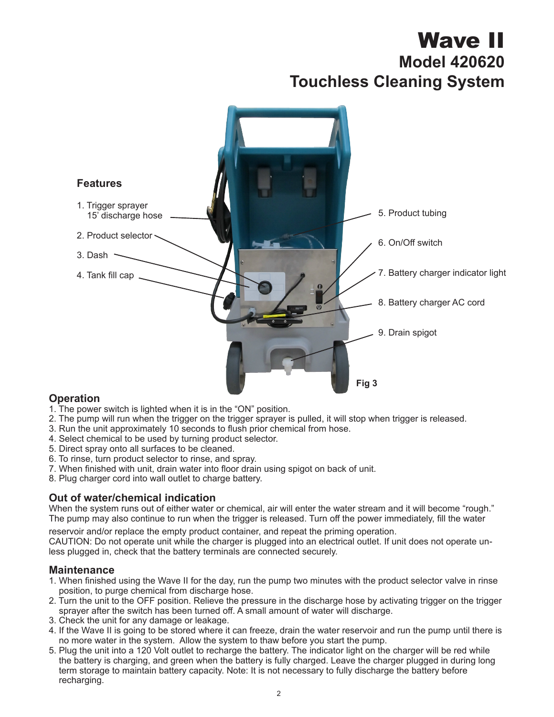# Wave II **Model 420620 Touchless Cleaning System**



## **Operation**

- 1. The power switch is lighted when it is in the "ON" position.
- 2. The pump will run when the trigger on the trigger sprayer is pulled, it will stop when trigger is released.
- 3. Run the unit approximately 10 seconds to flush prior chemical from hose.
- 4. Select chemical to be used by turning product selector.
- 5. Direct spray onto all surfaces to be cleaned.
- 6. To rinse, turn product selector to rinse, and spray.
- 7. When finished with unit, drain water into floor drain using spigot on back of unit.
- 8. Plug charger cord into wall outlet to charge battery.

#### **Out of water/chemical indication**

When the system runs out of either water or chemical, air will enter the water stream and it will become "rough." The pump may also continue to run when the trigger is released. Turn off the power immediately, fill the water

reservoir and/or replace the empty product container, and repeat the priming operation.

CAUTION: Do not operate unit while the charger is plugged into an electrical outlet. If unit does not operate unless plugged in, check that the battery terminals are connected securely.

#### **Maintenance**

- 1. When finished using the Wave II for the day, run the pump two minutes with the product selector valve in rinse position, to purge chemical from discharge hose.
- 2. Turn the unit to the OFF position. Relieve the pressure in the discharge hose by activating trigger on the trigger sprayer after the switch has been turned off. A small amount of water will discharge.
- 3. Check the unit for any damage or leakage.
- 4. If the Wave II is going to be stored where it can freeze, drain the water reservoir and run the pump until there is no more water in the system. Allow the system to thaw before you start the pump.
- 5. Plug the unit into a 120 Volt outlet to recharge the battery. The indicator light on the charger will be red while the battery is charging, and green when the battery is fully charged. Leave the charger plugged in during long term storage to maintain battery capacity. Note: It is not necessary to fully discharge the battery before recharging.